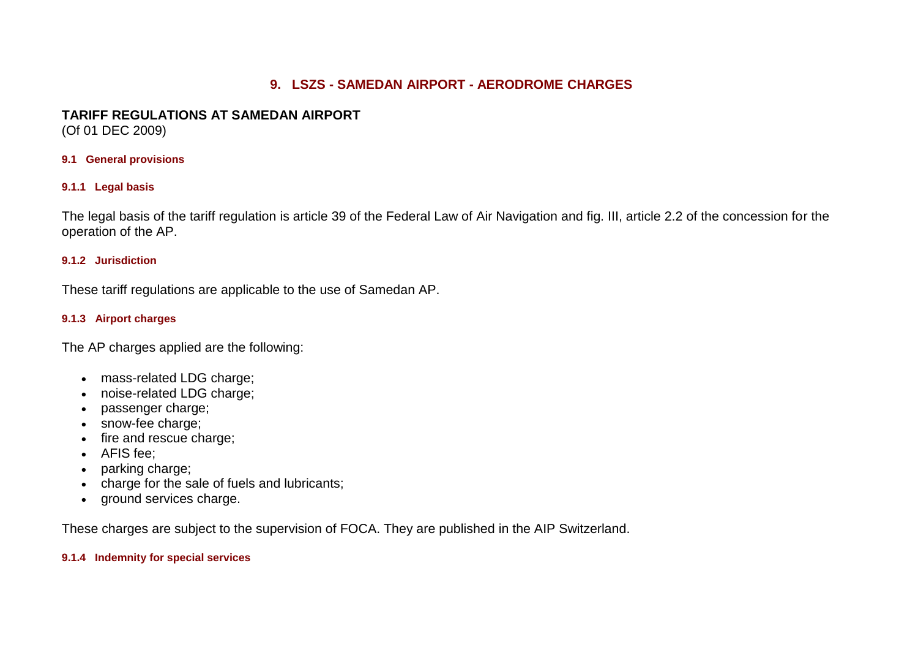# **9. LSZS - SAMEDAN AIRPORT - AERODROME CHARGES**

# **TARIFF REGULATIONS AT SAMEDAN AIRPORT**

(Of 01 DEC 2009)

### **9.1 General provisions**

### **9.1.1 Legal basis**

The legal basis of the tariff regulation is article 39 of the Federal Law of Air Navigation and fig. III, article 2.2 of the concession for the operation of the AP.

### **9.1.2 Jurisdiction**

These tariff regulations are applicable to the use of Samedan AP.

## **9.1.3 Airport charges**

The AP charges applied are the following:

- mass-related LDG charge;
- noise-related LDG charge;
- passenger charge;
- snow-fee charge;
- fire and rescue charge;
- AFIS fee;
- parking charge;
- charge for the sale of fuels and lubricants;
- ground services charge.

These charges are subject to the supervision of FOCA. They are published in the AIP Switzerland.

### **9.1.4 Indemnity for special services**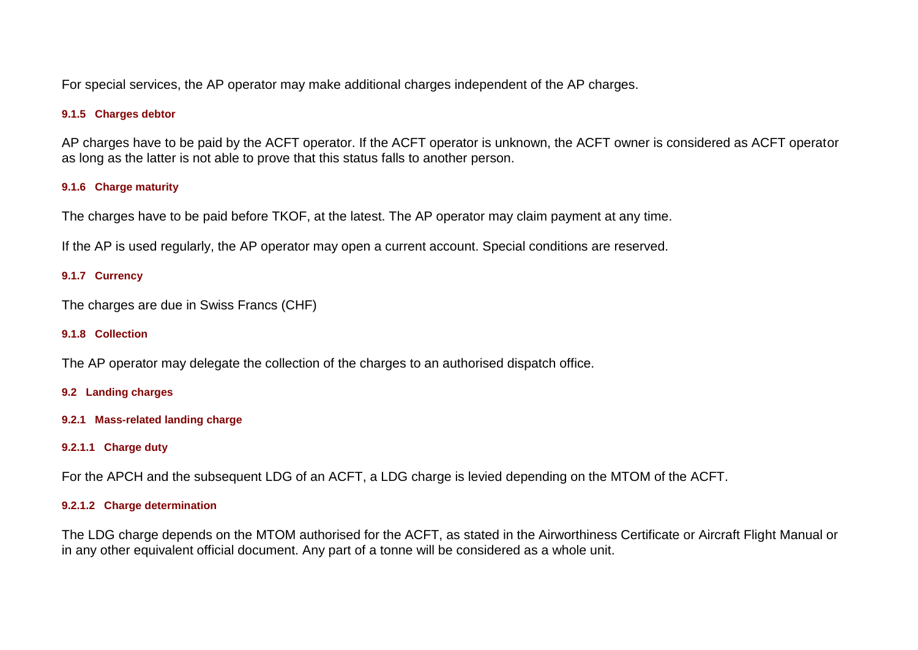For special services, the AP operator may make additional charges independent of the AP charges.

## **9.1.5 Charges debtor**

AP charges have to be paid by the ACFT operator. If the ACFT operator is unknown, the ACFT owner is considered as ACFT operator as long as the latter is not able to prove that this status falls to another person.

### **9.1.6 Charge maturity**

The charges have to be paid before TKOF, at the latest. The AP operator may claim payment at any time.

If the AP is used regularly, the AP operator may open a current account. Special conditions are reserved.

### **9.1.7 Currency**

The charges are due in Swiss Francs (CHF)

#### **9.1.8 Collection**

The AP operator may delegate the collection of the charges to an authorised dispatch office.

#### **9.2 Landing charges**

**9.2.1 Mass-related landing charge**

### **9.2.1.1 Charge duty**

For the APCH and the subsequent LDG of an ACFT, a LDG charge is levied depending on the MTOM of the ACFT.

#### **9.2.1.2 Charge determination**

The LDG charge depends on the MTOM authorised for the ACFT, as stated in the Airworthiness Certificate or Aircraft Flight Manual or in any other equivalent official document. Any part of a tonne will be considered as a whole unit.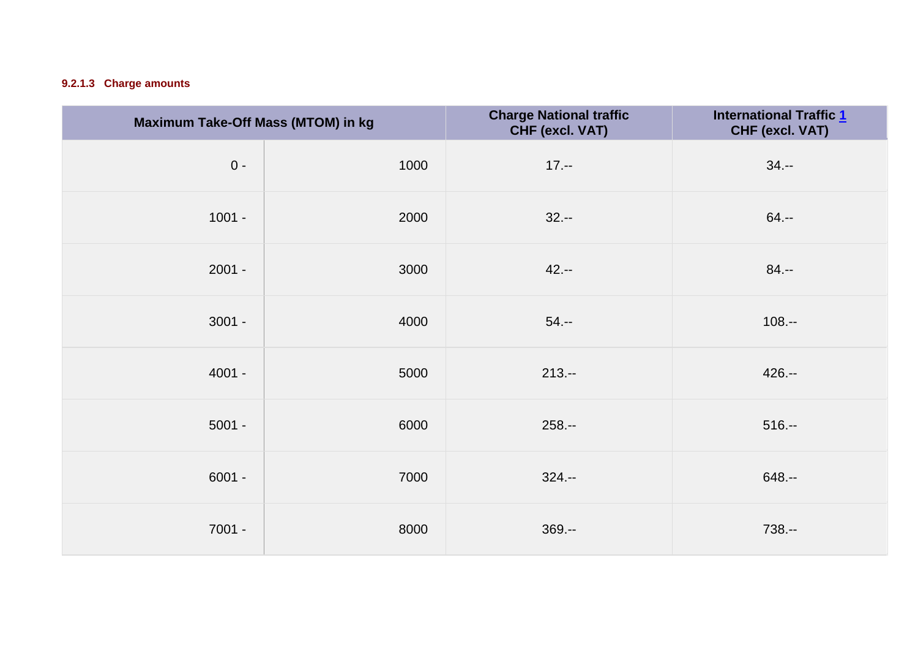# **9.2.1.3 Charge amounts**

| Maximum Take-Off Mass (MTOM) in kg |      | <b>Charge National traffic</b><br>CHF (excl. VAT) | <b>International Traffic 1</b><br>CHF (excl. VAT) |
|------------------------------------|------|---------------------------------------------------|---------------------------------------------------|
| $0 -$                              | 1000 | $17. - -$                                         | $34. - -$                                         |
| $1001 -$                           | 2000 | $32. - -$                                         | $64. - -$                                         |
| $2001 -$                           | 3000 | $42. - -$                                         | $84. - -$                                         |
| $3001 -$                           | 4000 | $54. - -$                                         | $108. - -$                                        |
| $4001 -$                           | 5000 | $213 -$                                           | $426 -$                                           |
| $5001 -$                           | 6000 | $258 -$                                           | $516. - $                                         |
| $6001 -$                           | 7000 | $324 -$                                           | $648. -$                                          |
| $7001 -$                           | 8000 | $369. -$                                          | 738.--                                            |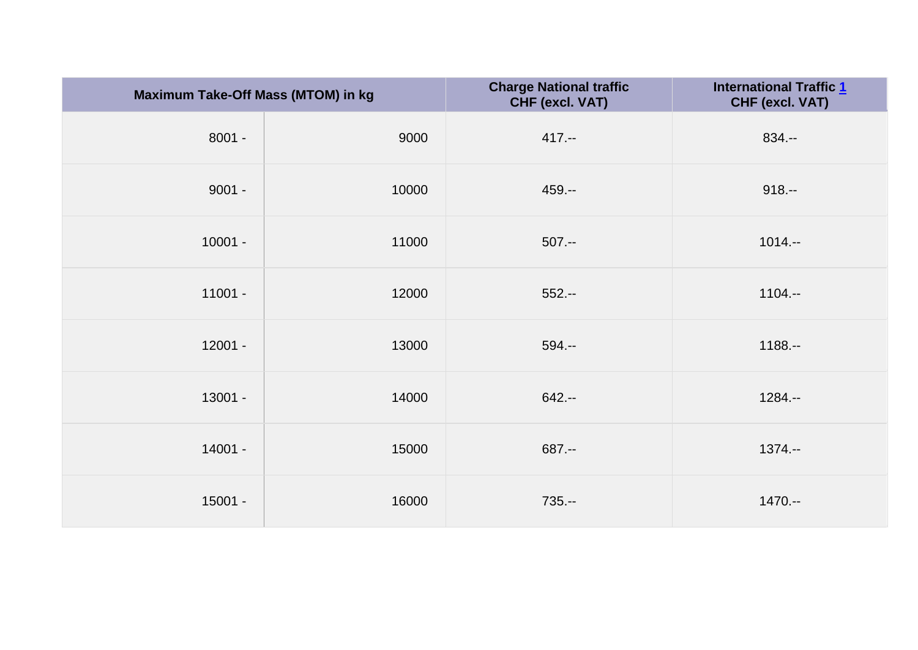| Maximum Take-Off Mass (MTOM) in kg |       | <b>Charge National traffic</b><br>CHF (excl. VAT) | <b>International Traffic 1</b><br>CHF (excl. VAT) |
|------------------------------------|-------|---------------------------------------------------|---------------------------------------------------|
| $8001 -$                           | 9000  | $417. - -$                                        | $834. -$                                          |
| $9001 -$                           | 10000 | $459. -$                                          | $918. - $                                         |
| $10001 -$                          | 11000 | $507. - -$                                        | $1014. - -$                                       |
| $11001 -$                          | 12000 | $552 -$                                           | $1104. - -$                                       |
| $12001 -$                          | 13000 | $594. - -$                                        | $1188. - -$                                       |
| 13001 -                            | 14000 | $642 -$                                           | $1284. - -$                                       |
| 14001 -                            | 15000 | 687.--                                            | $1374. - -$                                       |
| $15001 -$                          | 16000 | $735. - -$                                        | $1470 -$                                          |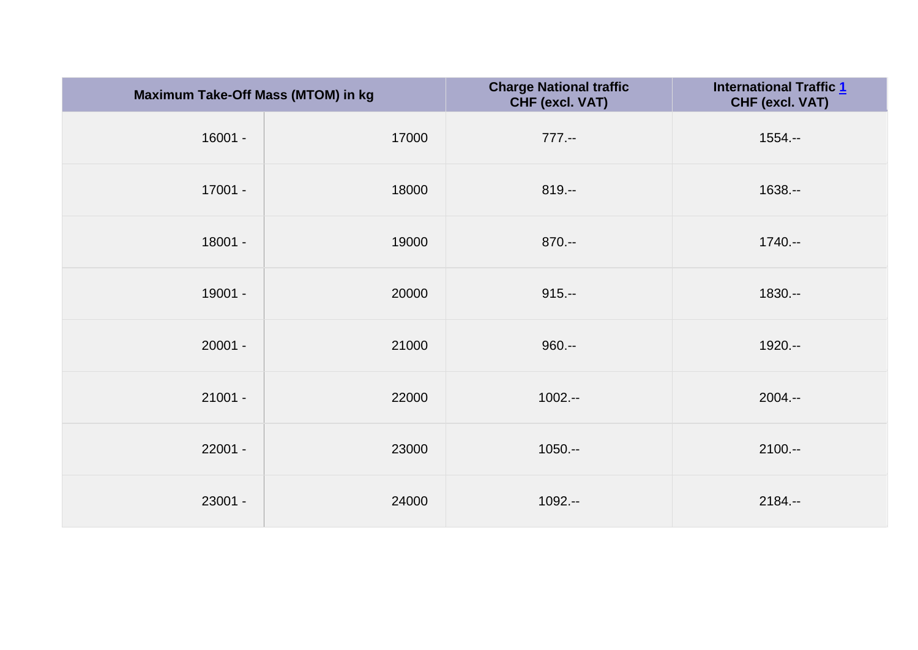| Maximum Take-Off Mass (MTOM) in kg |       | <b>Charge National traffic</b><br>CHF (excl. VAT) | <b>International Traffic 1</b><br>CHF (excl. VAT) |
|------------------------------------|-------|---------------------------------------------------|---------------------------------------------------|
| $16001 -$                          | 17000 | $777. - -$                                        | $1554. -$                                         |
| 17001 -                            | 18000 | $819. - $                                         | $1638. -$                                         |
| 18001 -                            | 19000 | $870--$                                           | $1740 -$                                          |
| 19001 -                            | 20000 | $915. - -$                                        | 1830 .--                                          |
| $20001 -$                          | 21000 | $960--$                                           | 1920 .--                                          |
| $21001 -$                          | 22000 | $1002 - -$                                        | $2004. - -$                                       |
| $22001 -$                          | 23000 | $1050. - -$                                       | $2100 -$                                          |
| 23001 -                            | 24000 | $1092 - -$                                        | $2184. -$                                         |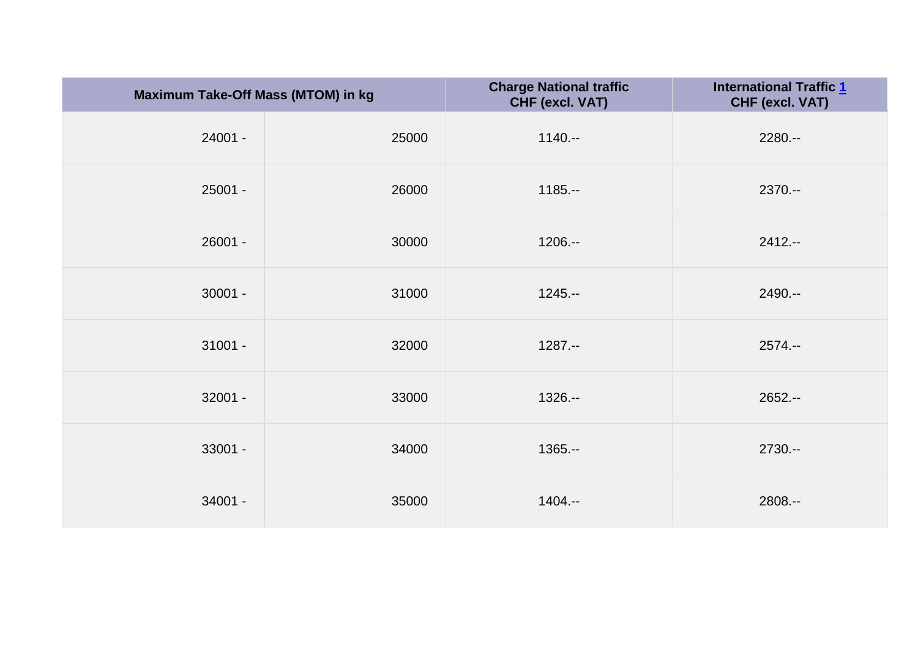| Maximum Take-Off Mass (MTOM) in kg |       | <b>Charge National traffic</b><br>CHF (excl. VAT) | <b>International Traffic 1</b><br>CHF (excl. VAT) |
|------------------------------------|-------|---------------------------------------------------|---------------------------------------------------|
| 24001 -                            | 25000 | $1140 -$                                          | $2280. - -$                                       |
| $25001 -$                          | 26000 | $1185 -$                                          | $2370 - -$                                        |
| 26001 -                            | 30000 | $1206. - -$                                       | $2412 -$                                          |
| $30001 -$                          | 31000 | $1245. - -$                                       | 2490 .--                                          |
| $31001 -$                          | 32000 | $1287. - -$                                       | $2574. - -$                                       |
| $32001 -$                          | 33000 | $1326. -$                                         | $2652 -$                                          |
| 33001 -                            | 34000 | $1365. - -$                                       | $2730 -$                                          |
| 34001 -                            | 35000 | $1404. - -$                                       | 2808 .--                                          |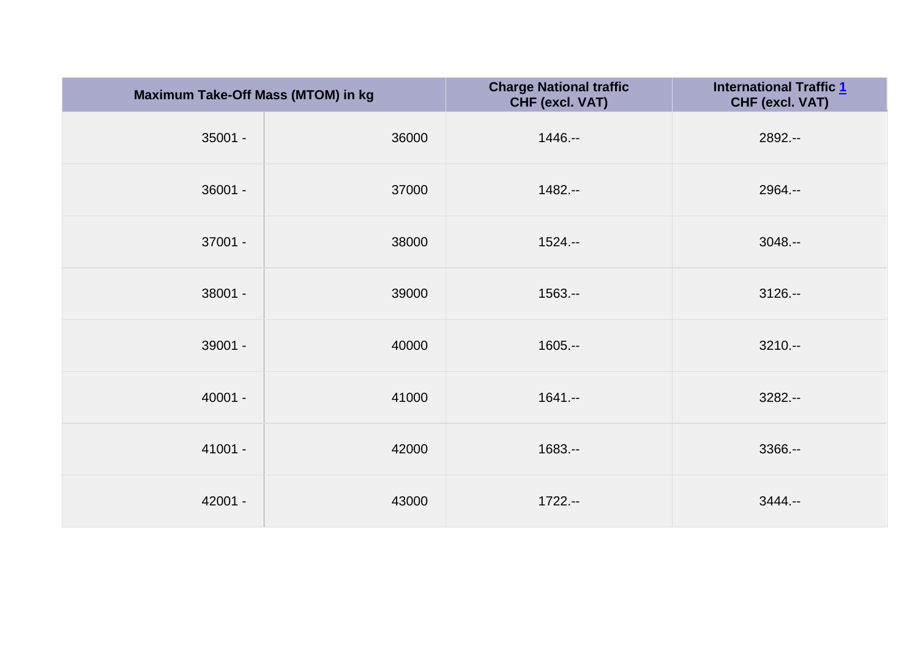| Maximum Take-Off Mass (MTOM) in kg |       | <b>Charge National traffic</b><br>CHF (excl. VAT) | <b>International Traffic 1</b><br>CHF (excl. VAT) |
|------------------------------------|-------|---------------------------------------------------|---------------------------------------------------|
| $35001 -$                          | 36000 | $1446. - -$                                       | 2892 .--                                          |
| 36001 -                            | 37000 | $1482 -$                                          | 2964 .--                                          |
| 37001 -                            | 38000 | $1524. - -$                                       | $3048. - -$                                       |
| 38001 -                            | 39000 | $1563. -$                                         | $3126 -$                                          |
| 39001 -                            | 40000 | $1605. - -$                                       | $3210 - -$                                        |
| $40001 -$                          | 41000 | $1641. - -$                                       | $3282 - -$                                        |
| 41001 -                            | 42000 | $1683. -$                                         | $3366. -$                                         |
| 42001 -                            | 43000 | $1722 - -$                                        | $3444. - -$                                       |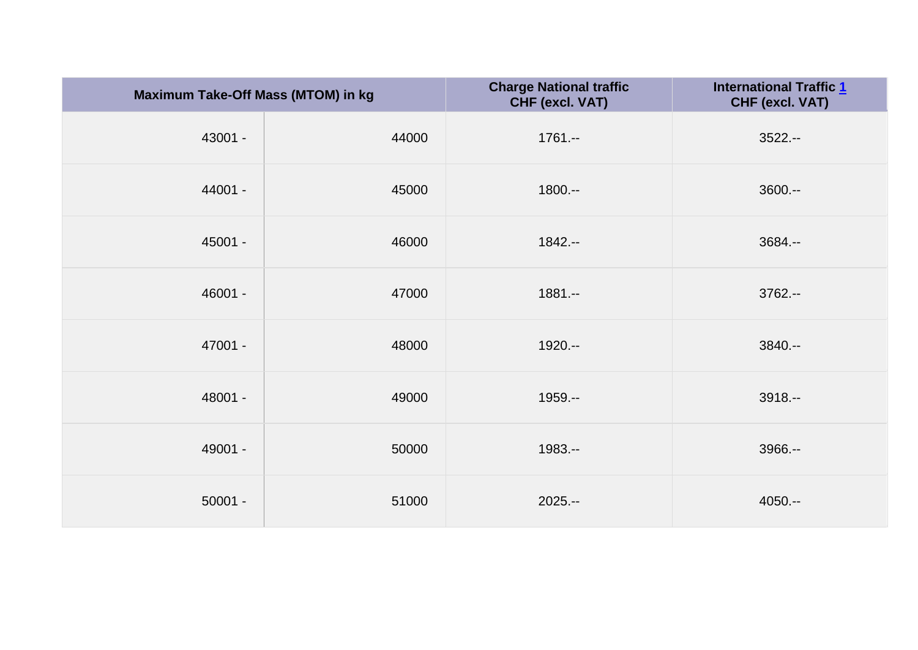| Maximum Take-Off Mass (MTOM) in kg |       | <b>Charge National traffic</b><br>CHF (excl. VAT) | <b>International Traffic 1</b><br>CHF (excl. VAT) |
|------------------------------------|-------|---------------------------------------------------|---------------------------------------------------|
| 43001 -                            | 44000 | $1761 -$                                          | $3522 - -$                                        |
| 44001 -                            | 45000 | $1800--$                                          | $3600--$                                          |
| 45001 -                            | 46000 | $1842 -$                                          | 3684 .--                                          |
| 46001 -                            | 47000 | $1881 - -$                                        | $3762--$                                          |
| 47001 -                            | 48000 | 1920 .--                                          | 3840 .--                                          |
| 48001 -                            | 49000 | 1959.--                                           | $3918. -$                                         |
| 49001 -                            | 50000 | 1983.--                                           | 3966.--                                           |
| $50001 -$                          | 51000 | $2025. - -$                                       | $4050. - -$                                       |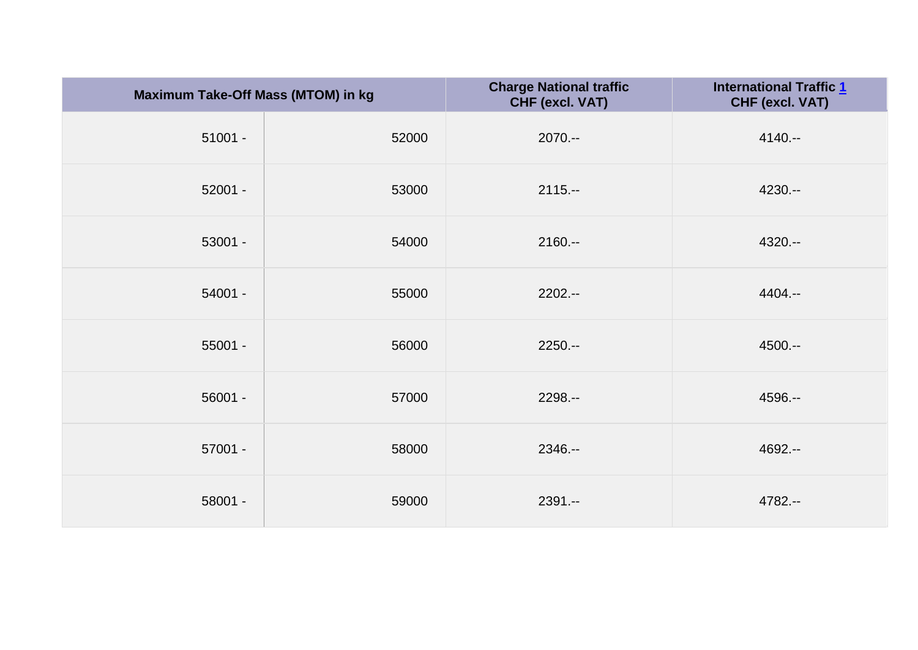| Maximum Take-Off Mass (MTOM) in kg |       | <b>Charge National traffic</b><br>CHF (excl. VAT) | <b>International Traffic 1</b><br>CHF (excl. VAT) |
|------------------------------------|-------|---------------------------------------------------|---------------------------------------------------|
| $51001 -$                          | 52000 | $2070 - -$                                        | $4140 -$                                          |
| $52001 -$                          | 53000 | $2115. -$                                         | $4230 -$                                          |
| $53001 -$                          | 54000 | $2160 -$                                          | $4320 -$                                          |
| $54001 -$                          | 55000 | 2202 .--                                          | 4404.--                                           |
| $55001 -$                          | 56000 | $2250. - -$                                       | 4500 .--                                          |
| $56001 -$                          | 57000 | 2298 .--                                          | 4596.--                                           |
| $57001 -$                          | 58000 | 2346.--                                           | 4692 .--                                          |
| 58001 -                            | 59000 | $2391 -$                                          | 4782 .--                                          |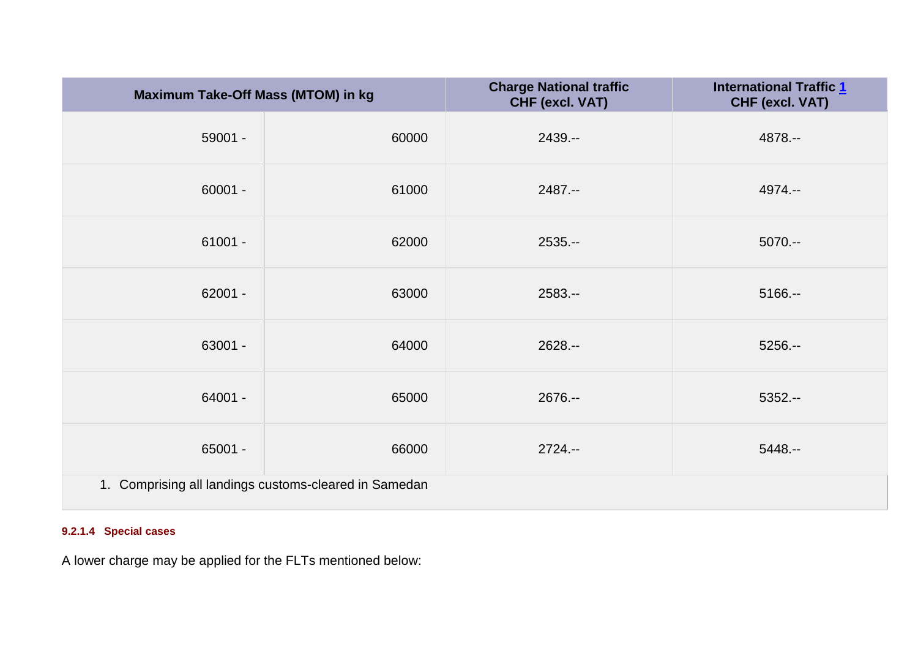| Maximum Take-Off Mass (MTOM) in kg                    |       | <b>Charge National traffic</b><br>CHF (excl. VAT) | <b>International Traffic 1</b><br>CHF (excl. VAT) |
|-------------------------------------------------------|-------|---------------------------------------------------|---------------------------------------------------|
| $59001 -$                                             | 60000 | $2439. -$                                         | 4878.--                                           |
| $60001 -$                                             | 61000 | $2487 -$                                          | 4974.--                                           |
| $61001 -$                                             | 62000 | $2535 -$                                          | $5070 -$                                          |
| $62001 -$                                             | 63000 | $2583. -$                                         | $5166 -$                                          |
| 63001 -                                               | 64000 | 2628 .--                                          | $5256. -$                                         |
| 64001 -                                               | 65000 | $2676. - -$                                       | $5352 -$                                          |
| $65001 -$                                             | 66000 | $2724. - -$                                       | $5448. -$                                         |
| 1. Comprising all landings customs-cleared in Samedan |       |                                                   |                                                   |

# **9.2.1.4 Special cases**

A lower charge may be applied for the FLTs mentioned below: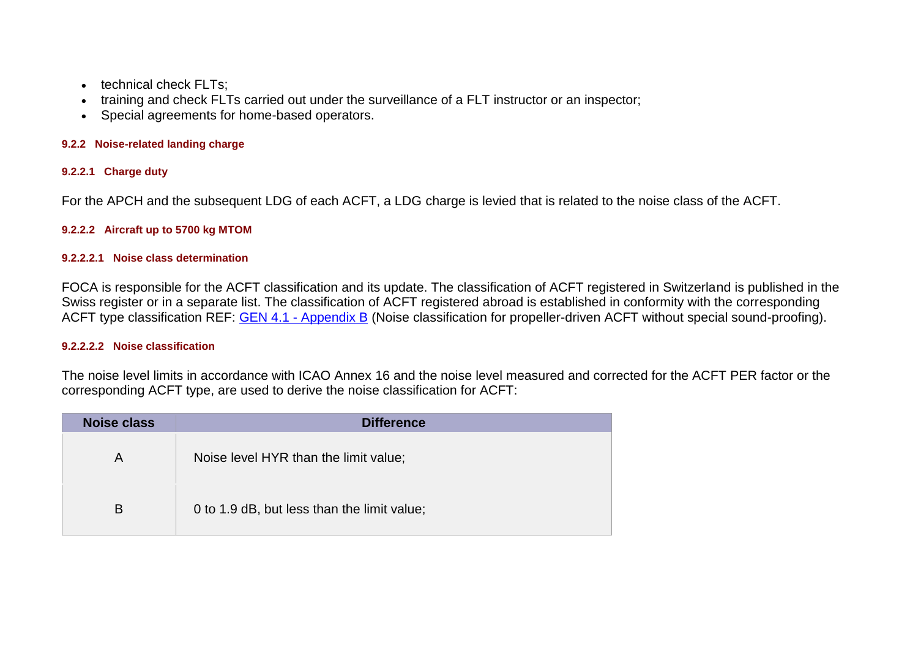- technical check FLTs:
- training and check FLTs carried out under the surveillance of a FLT instructor or an inspector;
- Special agreements for home-based operators.

### **9.2.2 Noise-related landing charge**

### **9.2.2.1 Charge duty**

For the APCH and the subsequent LDG of each ACFT, a LDG charge is levied that is related to the noise class of the ACFT.

### **9.2.2.2 Aircraft up to 5700 kg MTOM**

#### **9.2.2.2.1 Noise class determination**

FOCA is responsible for the ACFT classification and its update. The classification of ACFT registered in Switzerland is published in the Swiss register or in a separate list. The classification of ACFT registered abroad is established in conformity with the corresponding ACFT type classification REF: GEN 4.1 - [Appendix B](https://www.skybriefing.com/portal/delegate/eAIP/eAIP/2019-06-20/html/eAIP/LS-GEN-4.1-en-CH.html#GEN41-APPENDIX-B) (Noise classification for propeller-driven ACFT without special sound-proofing).

#### **9.2.2.2.2 Noise classification**

The noise level limits in accordance with ICAO Annex 16 and the noise level measured and corrected for the ACFT PER factor or the corresponding ACFT type, are used to derive the noise classification for ACFT:

| <b>Noise class</b> | <b>Difference</b>                           |
|--------------------|---------------------------------------------|
| A                  | Noise level HYR than the limit value;       |
| B                  | 0 to 1.9 dB, but less than the limit value; |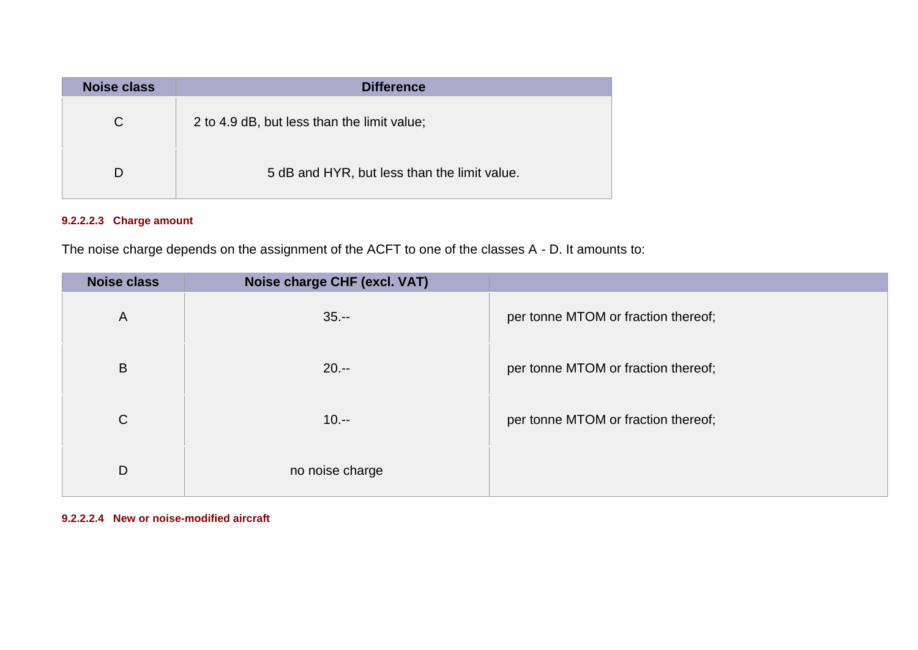| Noise class | <b>Difference</b>                            |
|-------------|----------------------------------------------|
| C.          | 2 to 4.9 dB, but less than the limit value;  |
|             | 5 dB and HYR, but less than the limit value. |

# **9.2.2.2.3 Charge amount**

The noise charge depends on the assignment of the ACFT to one of the classes A - D. It amounts to:

| <b>Noise class</b> | Noise charge CHF (excl. VAT) |                                     |
|--------------------|------------------------------|-------------------------------------|
| $\overline{A}$     | $35. - -$                    | per tonne MTOM or fraction thereof; |
| B                  | $20 -$                       | per tonne MTOM or fraction thereof; |
| $\mathsf{C}$       | $10. - -$                    | per tonne MTOM or fraction thereof; |
| D                  | no noise charge              |                                     |

### **9.2.2.2.4 New or noise-modified aircraft**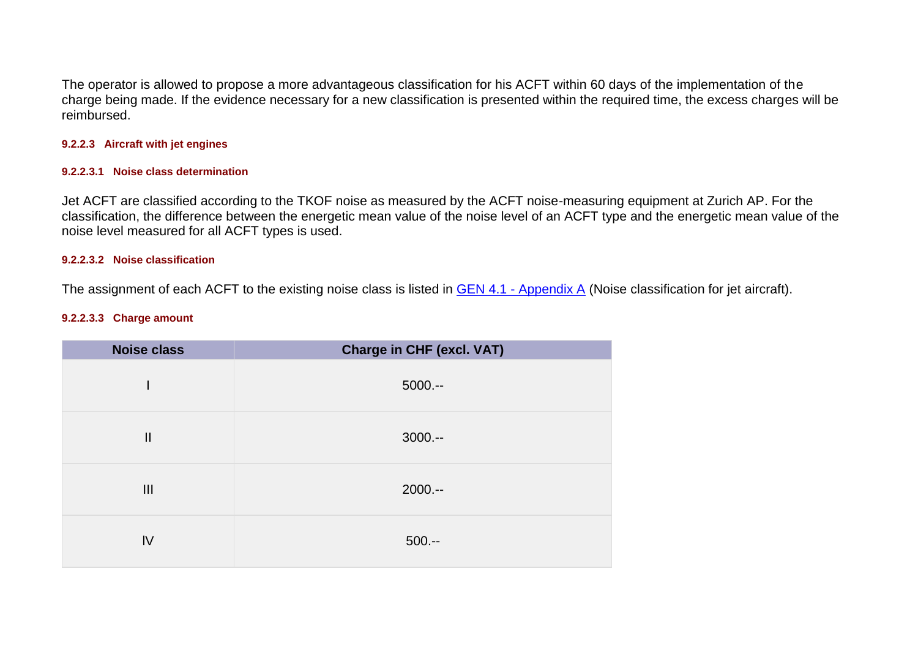The operator is allowed to propose a more advantageous classification for his ACFT within 60 days of the implementation of the charge being made. If the evidence necessary for a new classification is presented within the required time, the excess charges will be reimbursed.

#### **9.2.2.3 Aircraft with jet engines**

#### **9.2.2.3.1 Noise class determination**

Jet ACFT are classified according to the TKOF noise as measured by the ACFT noise-measuring equipment at Zurich AP. For the classification, the difference between the energetic mean value of the noise level of an ACFT type and the energetic mean value of the noise level measured for all ACFT types is used.

#### **9.2.2.3.2 Noise classification**

The assignment of each ACFT to the existing noise class is listed in **GEN 4.1 - [Appendix A](https://www.skybriefing.com/portal/delegate/eAIP/eAIP/2019-06-20/html/eAIP/LS-GEN-4.1-en-CH.html#GEN41-APPENDIX-A)** (Noise classification for jet aircraft).

#### **9.2.2.3.3 Charge amount**

| <b>Noise class</b>                    | <b>Charge in CHF (excl. VAT)</b> |
|---------------------------------------|----------------------------------|
|                                       | $5000 -$                         |
| $\begin{array}{c} \hline \end{array}$ | $3000 -$                         |
| III                                   | $2000--$                         |
| IV                                    | $500 -$                          |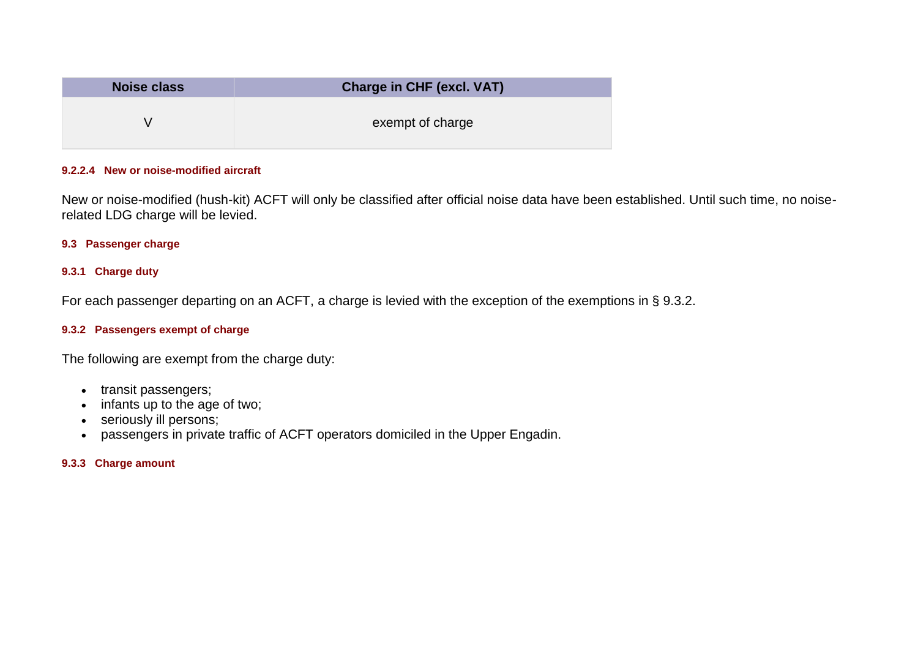| <b>Noise class</b> | <b>Charge in CHF (excl. VAT)</b> |  |  |
|--------------------|----------------------------------|--|--|
|                    | exempt of charge                 |  |  |

#### **9.2.2.4 New or noise-modified aircraft**

New or noise-modified (hush-kit) ACFT will only be classified after official noise data have been established. Until such time, no noiserelated LDG charge will be levied.

#### **9.3 Passenger charge**

# **9.3.1 Charge duty**

For each passenger departing on an ACFT, a charge is levied with the exception of the exemptions in § 9.3.2.

## **9.3.2 Passengers exempt of charge**

The following are exempt from the charge duty:

- transit passengers;
- infants up to the age of two;
- seriously ill persons;
- passengers in private traffic of ACFT operators domiciled in the Upper Engadin.

### **9.3.3 Charge amount**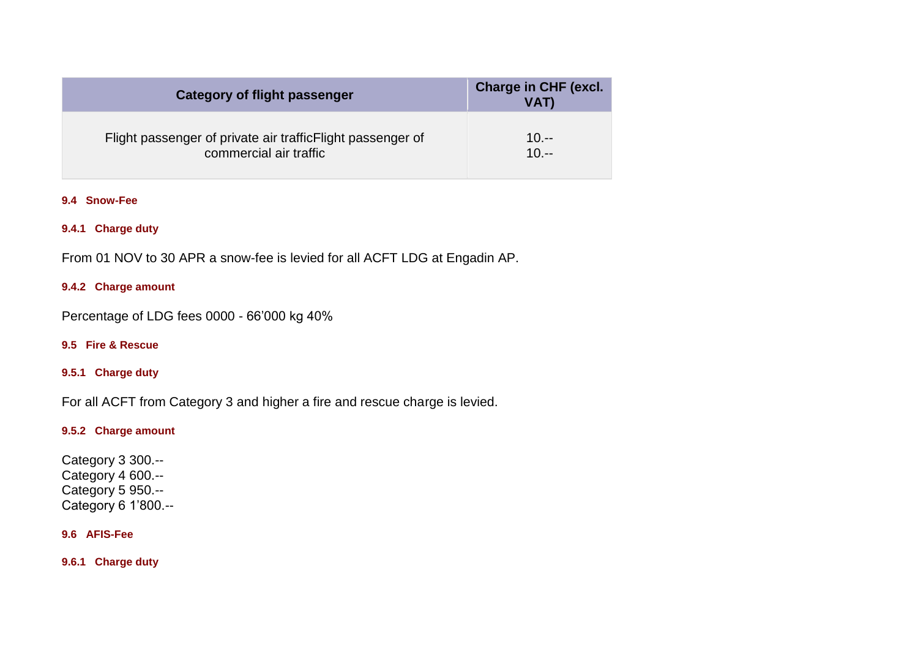| <b>Category of flight passenger</b>                        | Charge in CHF (excl.<br>VAT) |
|------------------------------------------------------------|------------------------------|
| Flight passenger of private air trafficFlight passenger of | $10. - -$                    |
| commercial air traffic                                     | $10. - -$                    |

### **9.4 Snow-Fee**

## **9.4.1 Charge duty**

From 01 NOV to 30 APR a snow-fee is levied for all ACFT LDG at Engadin AP.

## **9.4.2 Charge amount**

Percentage of LDG fees 0000 - 66'000 kg 40%

### **9.5 Fire & Rescue**

## **9.5.1 Charge duty**

For all ACFT from Category 3 and higher a fire and rescue charge is levied.

#### **9.5.2 Charge amount**

Category 3 300.-- Category 4 600.-- Category 5 950.-- Category 6 1'800.--

#### **9.6 AFIS-Fee**

**9.6.1 Charge duty**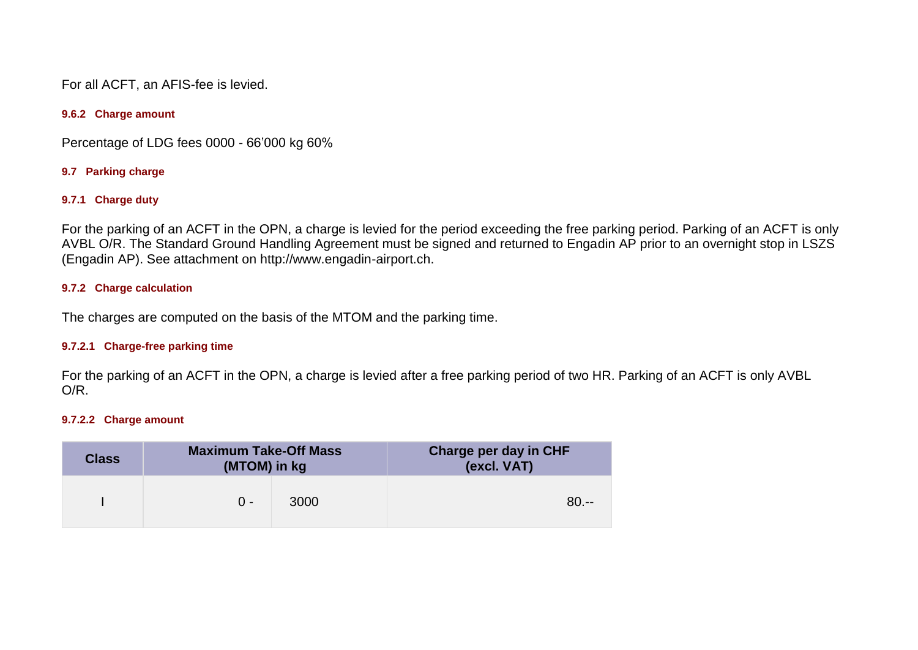For all ACFT, an AFIS-fee is levied.

#### **9.6.2 Charge amount**

Percentage of LDG fees 0000 - 66'000 kg 60%

### **9.7 Parking charge**

### **9.7.1 Charge duty**

For the parking of an ACFT in the OPN, a charge is levied for the period exceeding the free parking period. Parking of an ACFT is only AVBL O/R. The Standard Ground Handling Agreement must be signed and returned to Engadin AP prior to an overnight stop in LSZS (Engadin AP). See attachment on http://www.engadin-airport.ch.

### **9.7.2 Charge calculation**

The charges are computed on the basis of the MTOM and the parking time.

#### **9.7.2.1 Charge-free parking time**

For the parking of an ACFT in the OPN, a charge is levied after a free parking period of two HR. Parking of an ACFT is only AVBL O/R.

#### **9.7.2.2 Charge amount**

| <b>Class</b> | <b>Maximum Take-Off Mass</b><br>(MTOM) in kg |      | <b>Charge per day in CHF</b><br>(excl. VAT) |
|--------------|----------------------------------------------|------|---------------------------------------------|
|              | $\Omega$ -                                   | 3000 | $80. - -$                                   |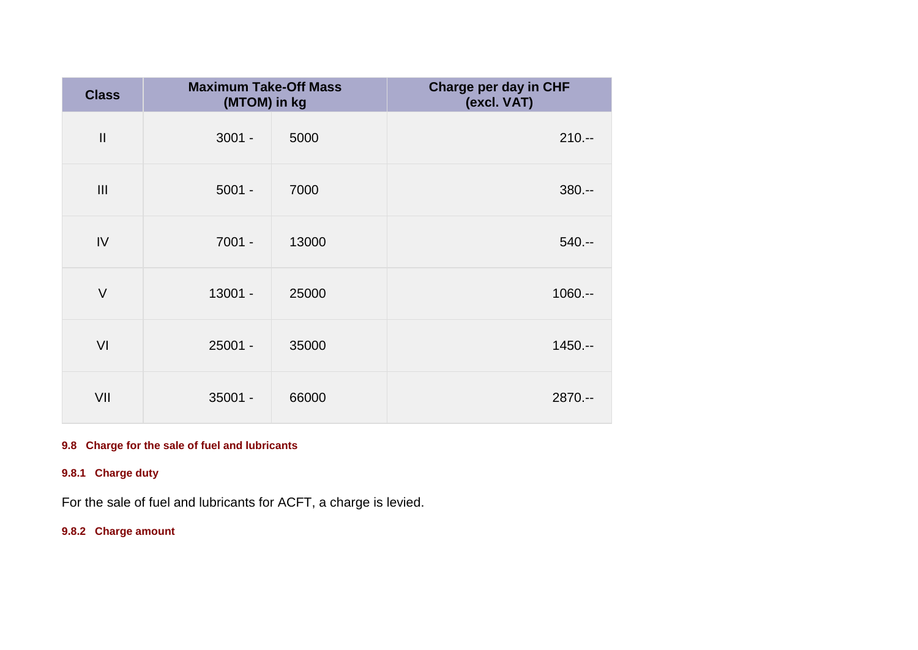| <b>Class</b>  | <b>Maximum Take-Off Mass</b><br>(MTOM) in kg |       | Charge per day in CHF<br>(excl. VAT) |
|---------------|----------------------------------------------|-------|--------------------------------------|
| $\mathbf{II}$ | $3001 -$                                     | 5000  | $210 -$                              |
| III           | $5001 -$                                     | 7000  | $380 -$                              |
| IV            | $7001 -$                                     | 13000 | $540 -$                              |
| $\vee$        | 13001 -                                      | 25000 | $1060. - -$                          |
| VI            | $25001 -$                                    | 35000 | $1450. - -$                          |
| VII           | $35001 -$                                    | 66000 | $2870. - -$                          |

# **9.8 Charge for the sale of fuel and lubricants**

# **9.8.1 Charge duty**

For the sale of fuel and lubricants for ACFT, a charge is levied.

# **9.8.2 Charge amount**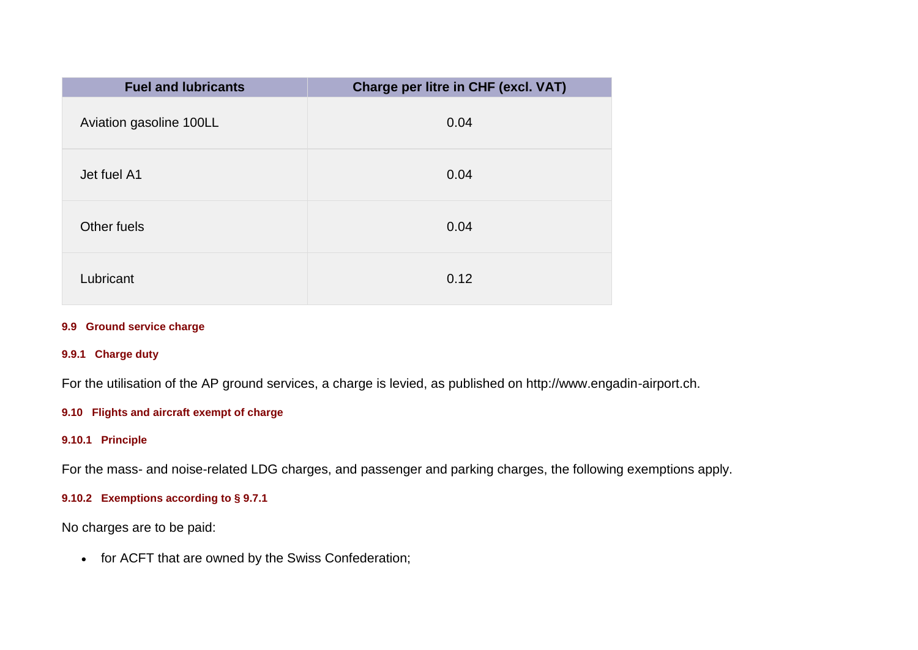| <b>Fuel and lubricants</b> | Charge per litre in CHF (excl. VAT) |
|----------------------------|-------------------------------------|
| Aviation gasoline 100LL    | 0.04                                |
| Jet fuel A1                | 0.04                                |
| Other fuels                | 0.04                                |
| Lubricant                  | 0.12                                |

### **9.9 Ground service charge**

# **9.9.1 Charge duty**

For the utilisation of the AP ground services, a charge is levied, as published on http://www.engadin-airport.ch.

## **9.10 Flights and aircraft exempt of charge**

## **9.10.1 Principle**

For the mass- and noise-related LDG charges, and passenger and parking charges, the following exemptions apply.

# **9.10.2 Exemptions according to § 9.7.1**

No charges are to be paid:

• for ACFT that are owned by the Swiss Confederation;